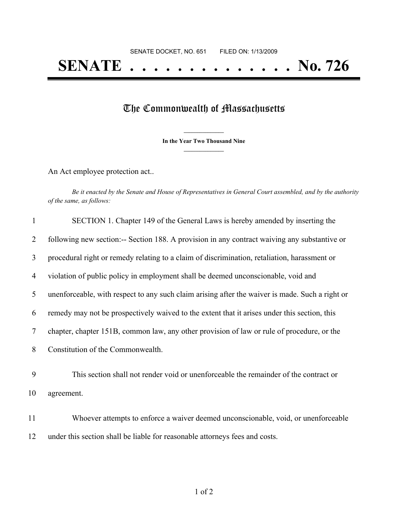## **SENATE . . . . . . . . . . . . . . No. 726**

## The Commonwealth of Massachusetts

**\_\_\_\_\_\_\_\_\_\_\_\_\_\_\_ In the Year Two Thousand Nine \_\_\_\_\_\_\_\_\_\_\_\_\_\_\_**

An Act employee protection act..

Be it enacted by the Senate and House of Representatives in General Court assembled, and by the authority *of the same, as follows:*

| $\mathbf{1}$ | SECTION 1. Chapter 149 of the General Laws is hereby amended by inserting the                   |
|--------------|-------------------------------------------------------------------------------------------------|
| 2            | following new section:-- Section 188. A provision in any contract waiving any substantive or    |
| 3            | procedural right or remedy relating to a claim of discrimination, retaliation, harassment or    |
| 4            | violation of public policy in employment shall be deemed unconscionable, void and               |
| 5            | unenforceable, with respect to any such claim arising after the waiver is made. Such a right or |
| 6            | remedy may not be prospectively waived to the extent that it arises under this section, this    |
| 7            | chapter, chapter 151B, common law, any other provision of law or rule of procedure, or the      |
| 8            | Constitution of the Commonwealth.                                                               |
| 9            | This section shall not render void or unenforceable the remainder of the contract or            |
| 10           | agreement.                                                                                      |
| 11           | Whoever attempts to enforce a waiver deemed unconscionable, void, or unenforceable              |

12 under this section shall be liable for reasonable attorneys fees and costs.